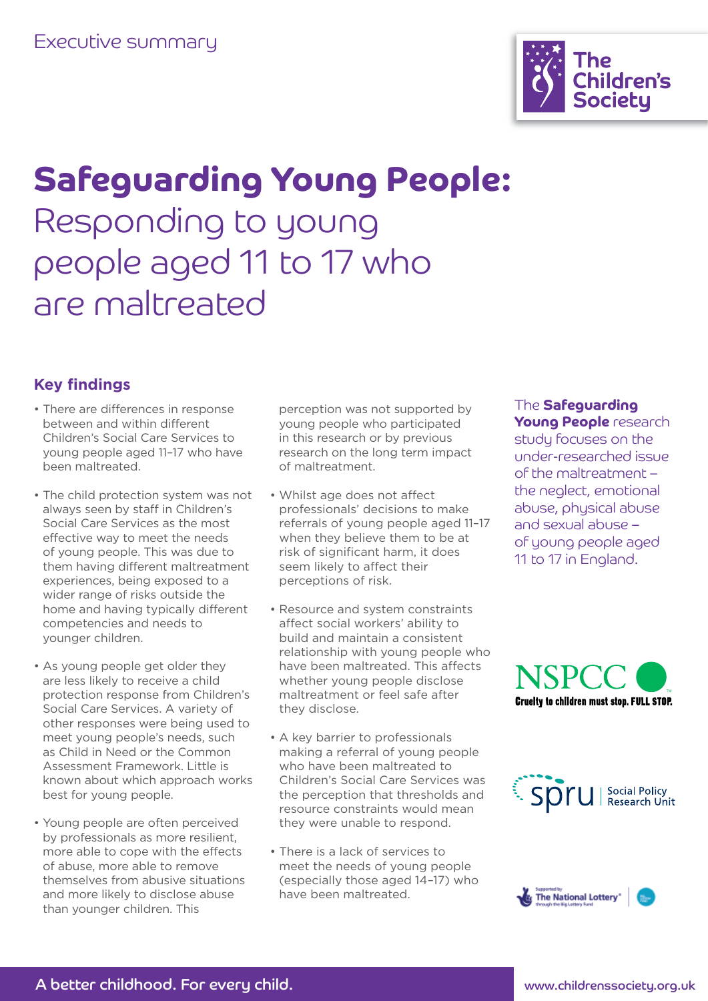

# Safeguarding Young People: Responding to young people aged 11 to 17 who are maltreated

# **Key findings**

- There are differences in response between and within different Children's Social Care Services to young people aged 11–17 who have been maltreated.
- The child protection system was not always seen by staff in Children's Social Care Services as the most effective way to meet the needs of young people. This was due to them having different maltreatment experiences, being exposed to a wider range of risks outside the home and having typically different competencies and needs to younger children.
- As young people get older they are less likely to receive a child protection response from Children's Social Care Services. A variety of other responses were being used to meet young people's needs, such as Child in Need or the Common Assessment Framework. Little is known about which approach works best for young people.
- Young people are often perceived by professionals as more resilient, more able to cope with the effects of abuse, more able to remove themselves from abusive situations and more likely to disclose abuse than younger children. This

perception was not supported by young people who participated in this research or by previous research on the long term impact of maltreatment.

- Whilst age does not affect professionals' decisions to make referrals of young people aged 11–17 when they believe them to be at risk of significant harm, it does seem likely to affect their perceptions of risk.
- Resource and system constraints affect social workers' ability to build and maintain a consistent relationship with young people who have been maltreated. This affects whether young people disclose maltreatment or feel safe after they disclose.
- A key barrier to professionals making a referral of young people who have been maltreated to Children's Social Care Services was the perception that thresholds and resource constraints would mean they were unable to respond.
- There is a lack of services to meet the needs of young people (especially those aged 14–17) who have been maltreated.

#### The Safeguarding Young People research

study focuses on the under-researched issue of the maltreatment – the neglect, emotional abuse, physical abuse and sexual abuse – of young people aged 11 to 17 in England.





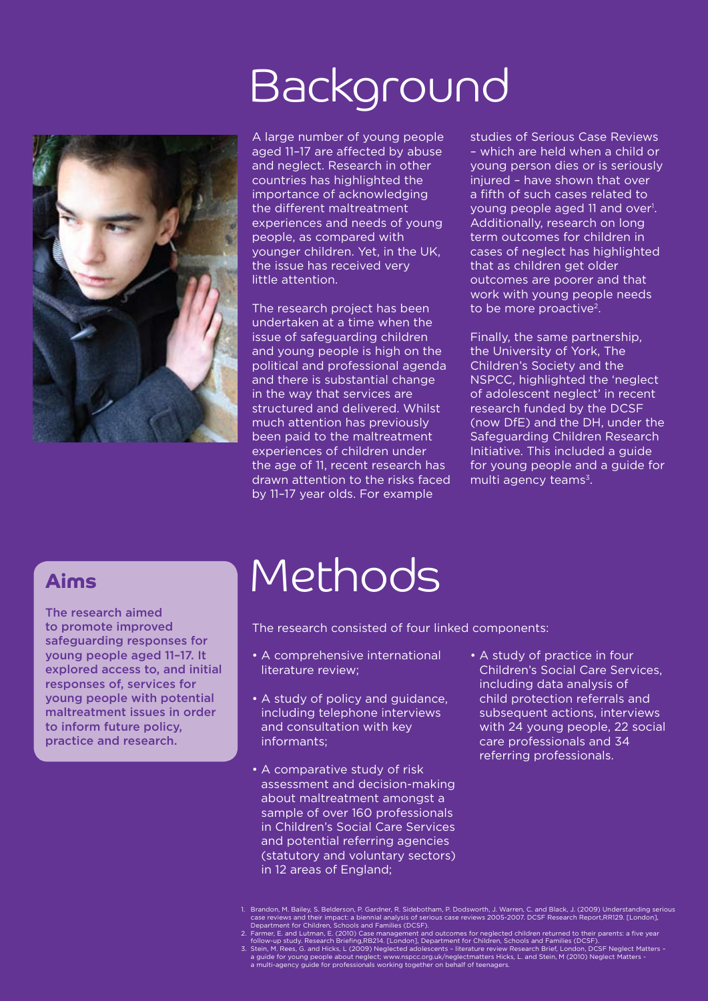# Background



A large number of young people aged 11–17 are affected by abuse and neglect. Research in other countries has highlighted the importance of acknowledging the different maltreatment experiences and needs of young people, as compared with younger children. Yet, in the UK, the issue has received very little attention.

The research project has been undertaken at a time when the issue of safeguarding children and young people is high on the political and professional agenda and there is substantial change in the way that services are structured and delivered. Whilst much attention has previously been paid to the maltreatment experiences of children under the age of 11, recent research has drawn attention to the risks faced by 11–17 year olds. For example

studies of Serious Case Reviews – which are held when a child or young person dies or is seriously injured - have shown that over a fifth of such cases related to young people aged 11 and over<sup>1</sup>. Additionally, research on long term outcomes for children in cases of neglect has highlighted that as children get older outcomes are poorer and that work with young people needs to be more proactive<sup>2</sup>.

Finally, the same partnership, the University of York, The Children's Society and the NSPCC, highlighted the 'neglect of adolescent neglect' in recent research funded by the DCSF (now DfE) and the DH, under the Safeguarding Children Research Initiative. This included a guide for young people and a guide for multi agency teams $3$ .

# Aims

The research aimed to promote improved safeguarding responses for young people aged 11–17. It explored access to, and initial responses of, services for young people with potential maltreatment issues in order to inform future policy, practice and research.

# Methods

The research consisted of four linked components:

- A comprehensive international literature review;
- A study of policy and guidance, including telephone interviews and consultation with key informants;
- A comparative study of risk assessment and decision-making about maltreatment amongst a sample of over 160 professionals in Children's Social Care Services and potential referring agencies (statutory and voluntary sectors) in 12 areas of England;
- A study of practice in four Children's Social Care Services, including data analysis of child protection referrals and subsequent actions, interviews with 24 young people, 22 social care professionals and 34 referring professionals.

- 1. Brandon, M. Bailey, S. Belderson, P. Gardner, R. Sidebotham, P. Dodsworth, J. Warren, C. and Black, J. (2009) Understanding serious<br>case reviews and their impact: a biennial analysis of serious case reviews 2005-2007. D
- 
-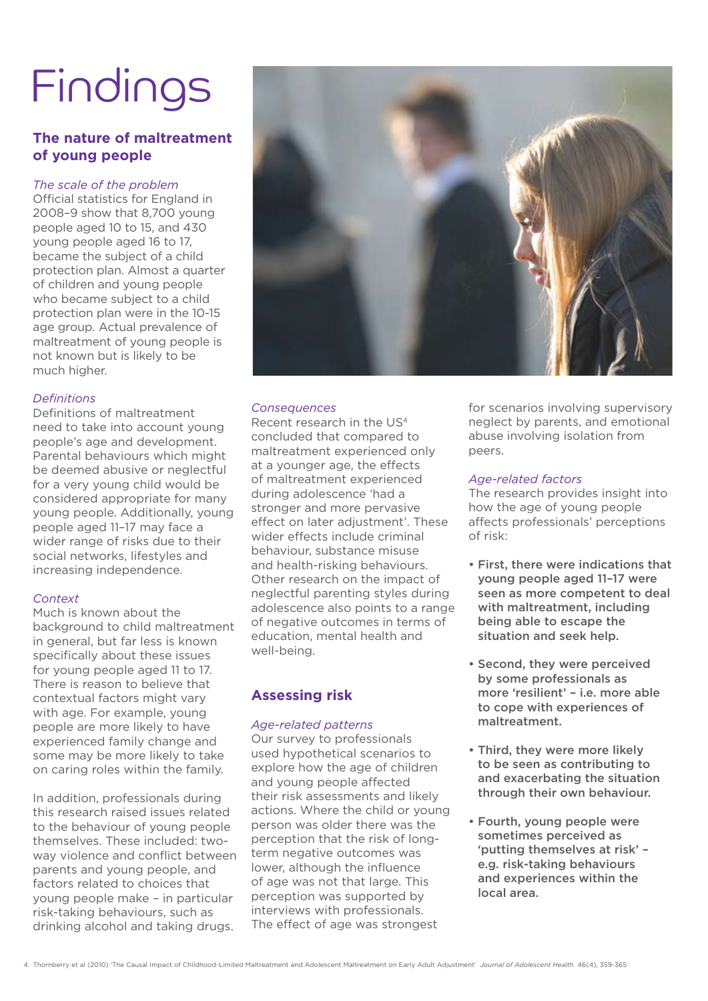# Findings

### **The nature of maltreatment of young people**

#### *The scale of the problem*

Official statistics for England in 2008–9 show that 8,700 young people aged 10 to 15, and 430 young people aged 16 to 17, became the subject of a child protection plan. Almost a quarter of children and young people who became subject to a child protection plan were in the 10-15 age group. Actual prevalence of maltreatment of young people is not known but is likely to be much higher.

#### *Definitions*

Definitions of maltreatment need to take into account young people's age and development. Parental behaviours which might be deemed abusive or neglectful for a very young child would be considered appropriate for many young people. Additionally, young people aged 11–17 may face a wider range of risks due to their social networks, lifestyles and increasing independence.

#### *Context*

Much is known about the background to child maltreatment in general, but far less is known specifically about these issues for young people aged 11 to 17. There is reason to believe that contextual factors might vary with age. For example, young people are more likely to have experienced family change and some may be more likely to take on caring roles within the family.

In addition, professionals during this research raised issues related to the behaviour of young people themselves. These included: twoway violence and conflict between parents and young people, and factors related to choices that young people make – in particular risk-taking behaviours, such as drinking alcohol and taking drugs.



#### *Consequences*

Recent research in the US4 concluded that compared to maltreatment experienced only at a younger age, the effects of maltreatment experienced during adolescence 'had a stronger and more pervasive effect on later adjustment'. These wider effects include criminal behaviour, substance misuse and health-risking behaviours. Other research on the impact of neglectful parenting styles during adolescence also points to a range of negative outcomes in terms of education, mental health and well-being.

### **Assessing risk**

#### *Age-related patterns*

Our survey to professionals used hypothetical scenarios to explore how the age of children and young people affected their risk assessments and likely actions. Where the child or young person was older there was the perception that the risk of longterm negative outcomes was lower, although the influence of age was not that large. This perception was supported by interviews with professionals. The effect of age was strongest

for scenarios involving supervisory neglect by parents, and emotional abuse involving isolation from peers.

#### *Age-related factors*

The research provides insight into how the age of young people affects professionals' perceptions of risk:

- First, there were indications that young people aged 11–17 were seen as more competent to deal with maltreatment, including being able to escape the situation and seek help.
- Second, they were perceived by some professionals as more 'resilient' – i.e. more able to cope with experiences of maltreatment.
- Third, they were more likely to be seen as contributing to and exacerbating the situation through their own behaviour.
- Fourth, young people were sometimes perceived as 'putting themselves at risk' – e.g. risk-taking behaviours and experiences within the local area.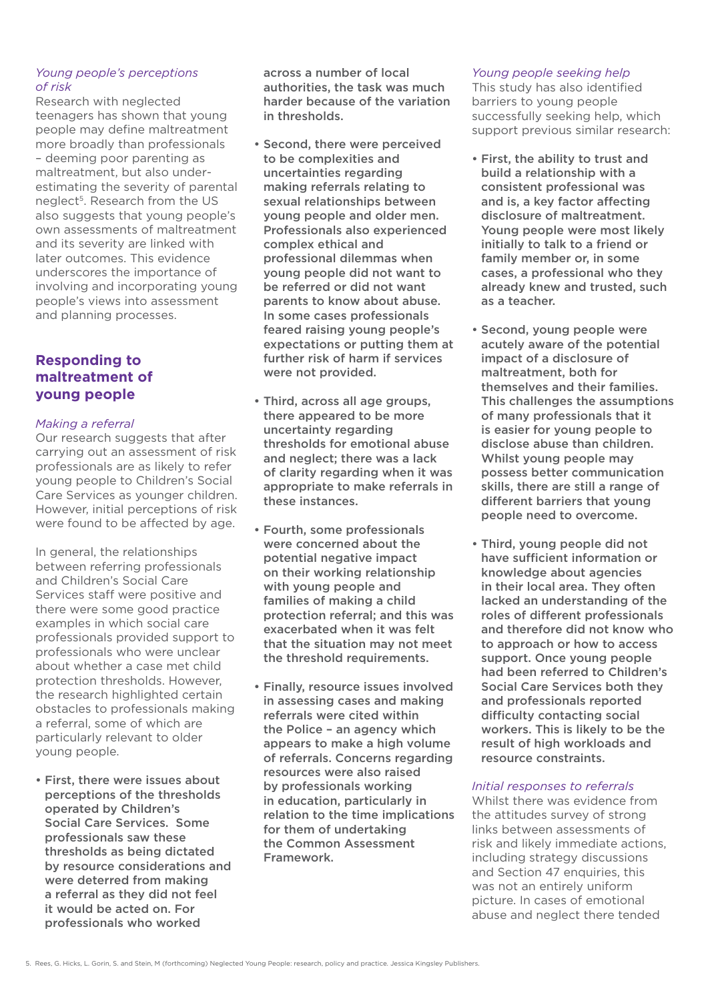#### *Young people's perceptions of risk*

Research with neglected teenagers has shown that young people may define maltreatment more broadly than professionals – deeming poor parenting as maltreatment, but also underestimating the severity of parental neglect<sup>5</sup>. Research from the US also suggests that young people's own assessments of maltreatment and its severity are linked with later outcomes. This evidence underscores the importance of involving and incorporating young people's views into assessment and planning processes.

### **Responding to maltreatment of young people**

#### *Making a referral*

Our research suggests that after carrying out an assessment of risk professionals are as likely to refer young people to Children's Social Care Services as younger children. However, initial perceptions of risk were found to be affected by age.

In general, the relationships between referring professionals and Children's Social Care Services staff were positive and there were some good practice examples in which social care professionals provided support to professionals who were unclear about whether a case met child protection thresholds. However, the research highlighted certain obstacles to professionals making a referral, some of which are particularly relevant to older young people.

• First, there were issues about perceptions of the thresholds operated by Children's Social Care Services. Some professionals saw these thresholds as being dictated by resource considerations and were deterred from making a referral as they did not feel it would be acted on. For professionals who worked

across a number of local authorities, the task was much harder because of the variation in thresholds.

- Second, there were perceived to be complexities and uncertainties regarding making referrals relating to sexual relationships between young people and older men. Professionals also experienced complex ethical and professional dilemmas when young people did not want to be referred or did not want parents to know about abuse. In some cases professionals feared raising young people's expectations or putting them at further risk of harm if services were not provided.
- Third, across all age groups, there appeared to be more uncertainty regarding thresholds for emotional abuse and neglect; there was a lack of clarity regarding when it was appropriate to make referrals in these instances.
- Fourth, some professionals were concerned about the potential negative impact on their working relationship with young people and families of making a child protection referral; and this was exacerbated when it was felt that the situation may not meet the threshold requirements.
- Finally, resource issues involved in assessing cases and making referrals were cited within the Police – an agency which appears to make a high volume of referrals. Concerns regarding resources were also raised by professionals working in education, particularly in relation to the time implications for them of undertaking the Common Assessment Framework.

#### *Young people seeking help*

This study has also identified barriers to young people successfully seeking help, which support previous similar research:

- First, the ability to trust and build a relationship with a consistent professional was and is, a key factor affecting disclosure of maltreatment. Young people were most likely initially to talk to a friend or family member or, in some cases, a professional who they already knew and trusted, such as a teacher.
- Second, young people were acutely aware of the potential impact of a disclosure of maltreatment, both for themselves and their families. This challenges the assumptions of many professionals that it is easier for young people to disclose abuse than children. Whilst young people may possess better communication skills, there are still a range of different barriers that young people need to overcome.
- Third, young people did not have sufficient information or knowledge about agencies in their local area. They often lacked an understanding of the roles of different professionals and therefore did not know who to approach or how to access support. Once young people had been referred to Children's Social Care Services both they and professionals reported difficulty contacting social workers. This is likely to be the result of high workloads and resource constraints.

#### *Initial responses to referrals*

Whilst there was evidence from the attitudes survey of strong links between assessments of risk and likely immediate actions, including strategy discussions and Section 47 enquiries, this was not an entirely uniform picture. In cases of emotional abuse and neglect there tended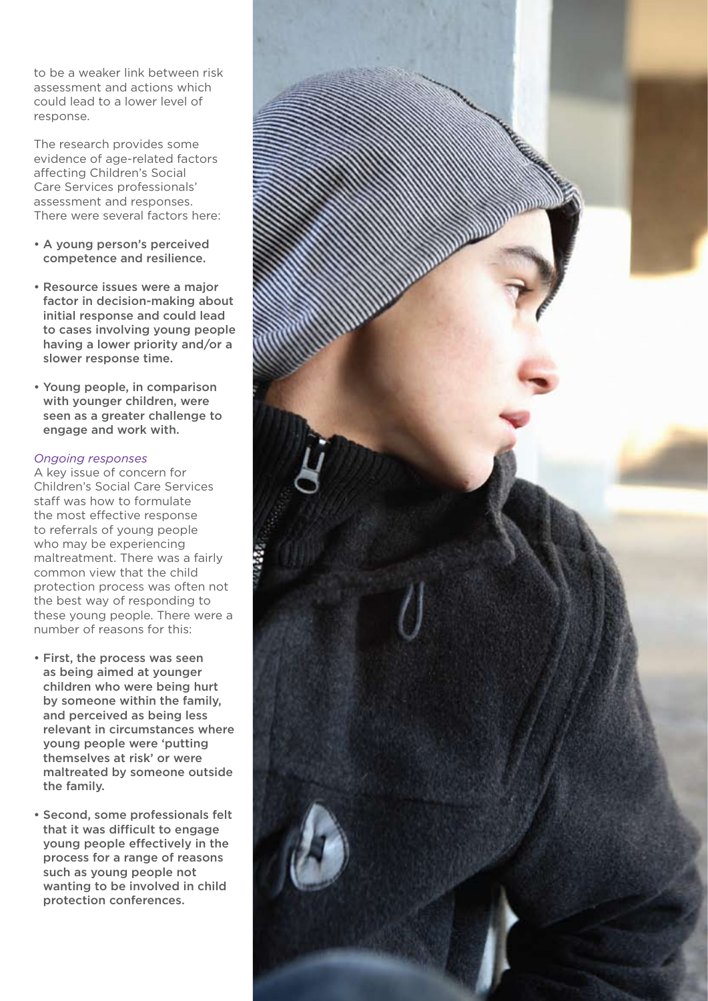to be a weaker link between risk assessment and actions which could lead to a lower level of response.

The research provides some evidence of age-related factors affecting Children's Social Care Services professionals' assessment and responses. There were several factors here:

- A young person's perceived competence and resilience.
- Resource issues were a major factor in decision-making about initial response and could lead to cases involving young people having a lower priority and/or a slower response time.
- Young people, in comparison with younger children, were seen as a greater challenge to engage and work with.

#### *Ongoing responses*

A key issue of concern for Children's Social Care Services staff was how to formulate the most effective response to referrals of young people who may be experiencing maltreatment. There was a fairly common view that the child protection process was often not the best way of responding to these young people. There were a number of reasons for this:

- First, the process was seen as being aimed at younger children who were being hurt by someone within the family, and perceived as being less relevant in circumstances where young people were 'putting themselves at risk' or were maltreated by someone outside the family.
- Second, some professionals felt that it was difficult to engage young people effectively in the process for a range of reasons such as young people not wanting to be involved in child protection conferences.

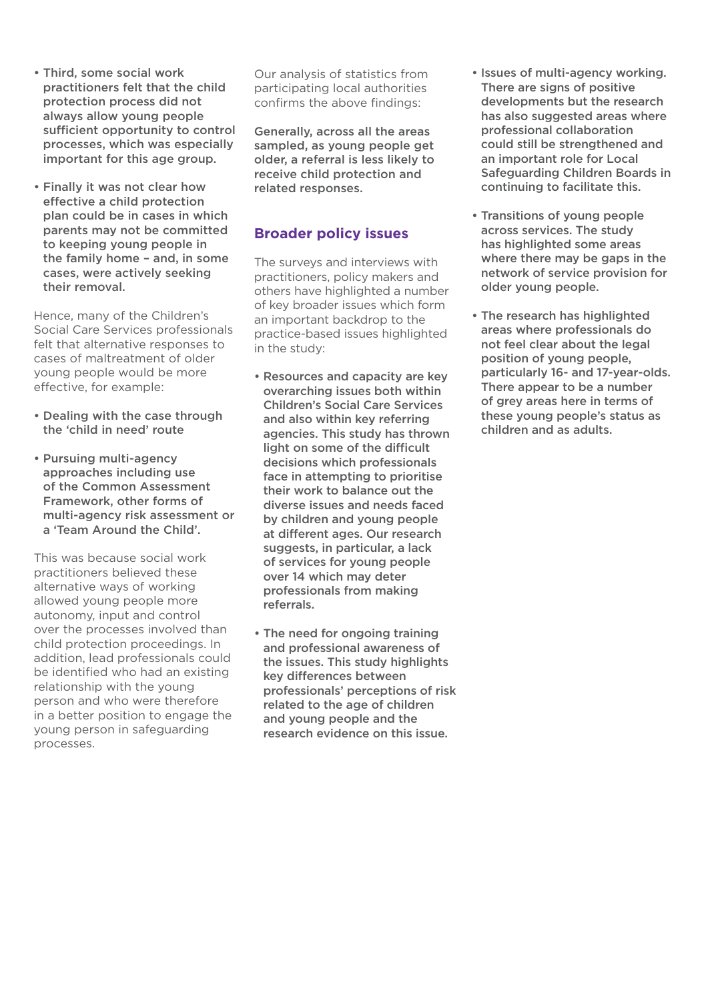- Third, some social work practitioners felt that the child protection process did not always allow young people sufficient opportunity to control processes, which was especially important for this age group.
- Finally it was not clear how effective a child protection plan could be in cases in which parents may not be committed to keeping young people in the family home – and, in some cases, were actively seeking their removal.

Hence, many of the Children's Social Care Services professionals felt that alternative responses to cases of maltreatment of older young people would be more effective, for example:

- Dealing with the case through the 'child in need' route
- Pursuing multi-agency approaches including use of the Common Assessment Framework, other forms of multi-agency risk assessment or a 'Team Around the Child'.

This was because social work practitioners believed these alternative ways of working allowed young people more autonomy, input and control over the processes involved than child protection proceedings. In addition, lead professionals could be identified who had an existing relationship with the young person and who were therefore in a better position to engage the young person in safeguarding processes.

Our analysis of statistics from participating local authorities confirms the above findings:

Generally, across all the areas sampled, as young people get older, a referral is less likely to receive child protection and related responses.

# **Broader policy issues**

The surveys and interviews with practitioners, policy makers and others have highlighted a number of key broader issues which form an important backdrop to the practice-based issues highlighted in the study:

- Resources and capacity are key overarching issues both within Children's Social Care Services and also within key referring agencies. This study has thrown light on some of the difficult decisions which professionals face in attempting to prioritise their work to balance out the diverse issues and needs faced by children and young people at different ages. Our research suggests, in particular, a lack of services for young people over 14 which may deter professionals from making referrals.
- The need for ongoing training and professional awareness of the issues. This study highlights key differences between professionals' perceptions of risk related to the age of children and young people and the research evidence on this issue.
- Issues of multi-agency working. There are signs of positive developments but the research has also suggested areas where professional collaboration could still be strengthened and an important role for Local Safeguarding Children Boards in continuing to facilitate this.
- Transitions of young people across services. The study has highlighted some areas where there may be gaps in the network of service provision for older young people.
- The research has highlighted areas where professionals do not feel clear about the legal position of young people, particularly 16- and 17-year-olds. There appear to be a number of grey areas here in terms of these young people's status as children and as adults.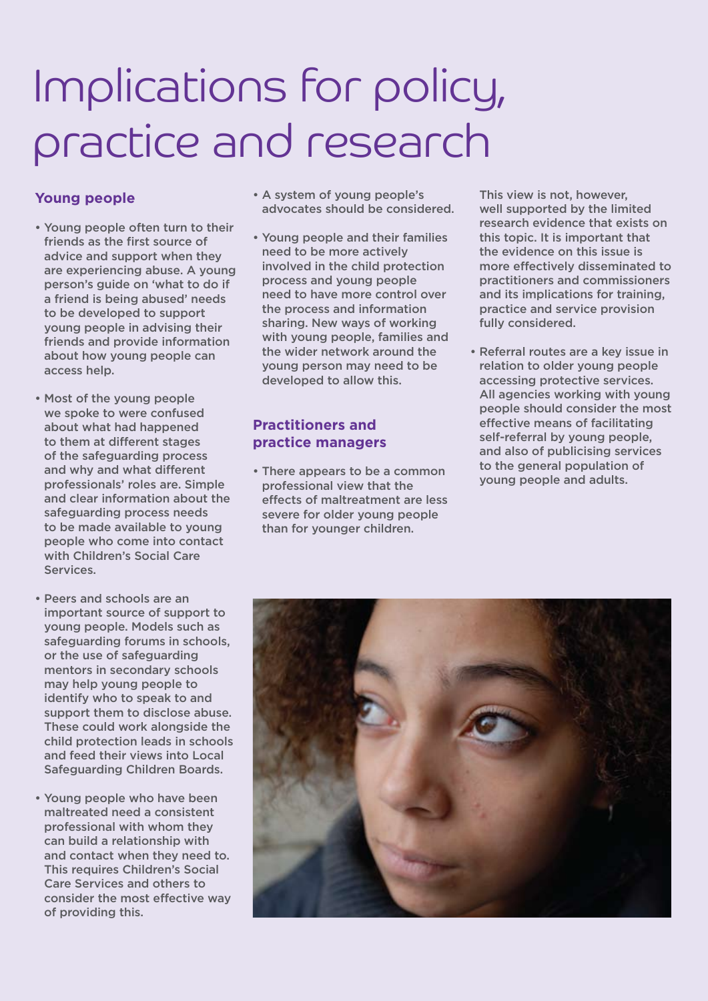# Implications for policy, practice and research

## **Young people**

- Young people often turn to their friends as the first source of advice and support when they are experiencing abuse. A young person's guide on 'what to do if a friend is being abused' needs to be developed to support young people in advising their friends and provide information about how young people can access help.
- Most of the young people we spoke to were confused about what had happened to them at different stages of the safeguarding process and why and what different professionals' roles are. Simple and clear information about the safeguarding process needs to be made available to young people who come into contact with Children's Social Care Services.
- Peers and schools are an important source of support to young people. Models such as safeguarding forums in schools, or the use of safeguarding mentors in secondary schools may help young people to identify who to speak to and support them to disclose abuse. These could work alongside the child protection leads in schools and feed their views into Local Safeguarding Children Boards.
- Young people who have been maltreated need a consistent professional with whom they can build a relationship with and contact when they need to. This requires Children's Social Care Services and others to consider the most effective way of providing this.
- A system of young people's advocates should be considered.
- Young people and their families need to be more actively involved in the child protection process and young people need to have more control over the process and information sharing. New ways of working with young people, families and the wider network around the young person may need to be developed to allow this.

### **Practitioners and practice managers**

• There appears to be a common professional view that the effects of maltreatment are less severe for older young people than for younger children.

This view is not, however, well supported by the limited research evidence that exists on this topic. It is important that the evidence on this issue is more effectively disseminated to practitioners and commissioners and its implications for training, practice and service provision fully considered.

• Referral routes are a key issue in relation to older young people accessing protective services. All agencies working with young people should consider the most effective means of facilitating self-referral by young people, and also of publicising services to the general population of young people and adults.